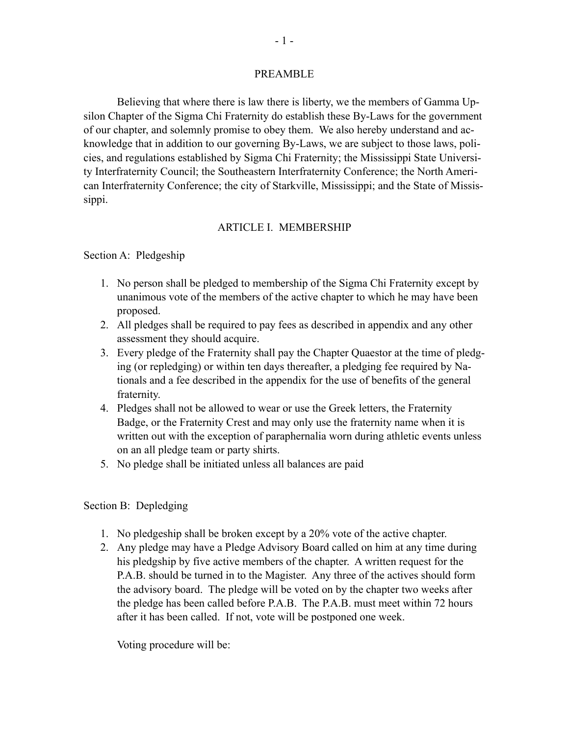#### PREAMBLE

Believing that where there is law there is liberty, we the members of Gamma Upsilon Chapter of the Sigma Chi Fraternity do establish these By-Laws for the government of our chapter, and solemnly promise to obey them. We also hereby understand and acknowledge that in addition to our governing By-Laws, we are subject to those laws, policies, and regulations established by Sigma Chi Fraternity; the Mississippi State University Interfraternity Council; the Southeastern Interfraternity Conference; the North American Interfraternity Conference; the city of Starkville, Mississippi; and the State of Mississippi.

### ARTICLE I. MEMBERSHIP

Section A: Pledgeship

- 1. No person shall be pledged to membership of the Sigma Chi Fraternity except by unanimous vote of the members of the active chapter to which he may have been proposed.
- 2. All pledges shall be required to pay fees as described in appendix and any other assessment they should acquire.
- 3. Every pledge of the Fraternity shall pay the Chapter Quaestor at the time of pledging (or repledging) or within ten days thereafter, a pledging fee required by Nationals and a fee described in the appendix for the use of benefits of the general fraternity.
- 4. Pledges shall not be allowed to wear or use the Greek letters, the Fraternity Badge, or the Fraternity Crest and may only use the fraternity name when it is written out with the exception of paraphernalia worn during athletic events unless on an all pledge team or party shirts.
- 5. No pledge shall be initiated unless all balances are paid

#### Section B: Depledging

- 1. No pledgeship shall be broken except by a 20% vote of the active chapter.
- 2. Any pledge may have a Pledge Advisory Board called on him at any time during his pledgship by five active members of the chapter. A written request for the P.A.B. should be turned in to the Magister. Any three of the actives should form the advisory board. The pledge will be voted on by the chapter two weeks after the pledge has been called before P.A.B. The P.A.B. must meet within 72 hours after it has been called. If not, vote will be postponed one week.

Voting procedure will be: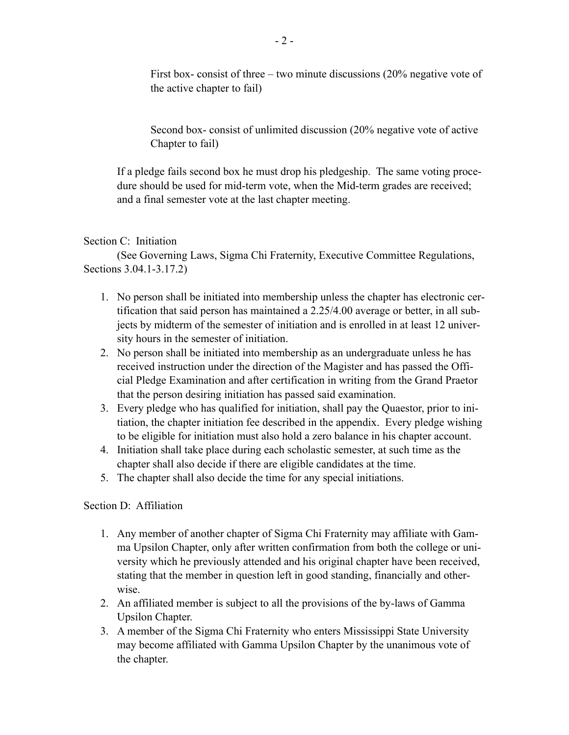First box- consist of three – two minute discussions (20% negative vote of the active chapter to fail)

Second box- consist of unlimited discussion (20% negative vote of active Chapter to fail)

If a pledge fails second box he must drop his pledgeship. The same voting procedure should be used for mid-term vote, when the Mid-term grades are received; and a final semester vote at the last chapter meeting.

### Section C: Initiation

(See Governing Laws, Sigma Chi Fraternity, Executive Committee Regulations, Sections 3.04.1-3.17.2)

- 1. No person shall be initiated into membership unless the chapter has electronic certification that said person has maintained a 2.25/4.00 average or better, in all subjects by midterm of the semester of initiation and is enrolled in at least 12 university hours in the semester of initiation.
- 2. No person shall be initiated into membership as an undergraduate unless he has received instruction under the direction of the Magister and has passed the Official Pledge Examination and after certification in writing from the Grand Praetor that the person desiring initiation has passed said examination.
- 3. Every pledge who has qualified for initiation, shall pay the Quaestor, prior to initiation, the chapter initiation fee described in the appendix. Every pledge wishing to be eligible for initiation must also hold a zero balance in his chapter account.
- 4. Initiation shall take place during each scholastic semester, at such time as the chapter shall also decide if there are eligible candidates at the time.
- 5. The chapter shall also decide the time for any special initiations.

# Section D: Affiliation

- 1. Any member of another chapter of Sigma Chi Fraternity may affiliate with Gamma Upsilon Chapter, only after written confirmation from both the college or university which he previously attended and his original chapter have been received, stating that the member in question left in good standing, financially and otherwise.
- 2. An affiliated member is subject to all the provisions of the by-laws of Gamma Upsilon Chapter.
- 3. A member of the Sigma Chi Fraternity who enters Mississippi State University may become affiliated with Gamma Upsilon Chapter by the unanimous vote of the chapter.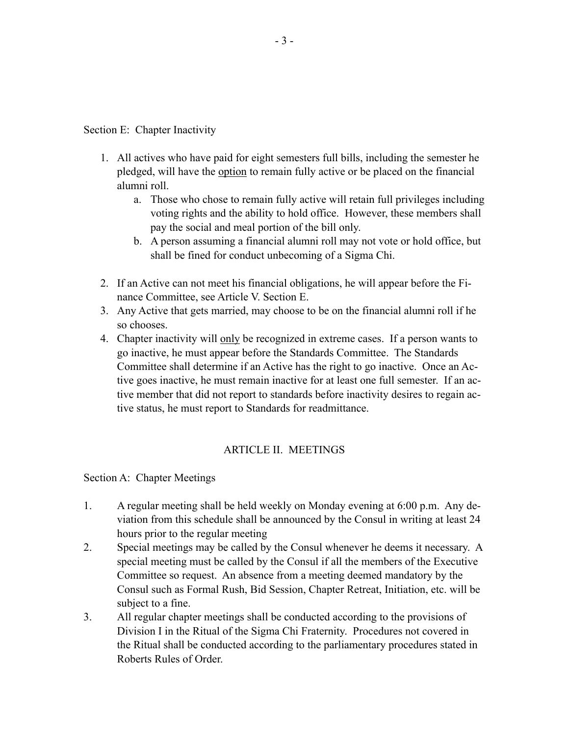Section E: Chapter Inactivity

- 1. All actives who have paid for eight semesters full bills, including the semester he pledged, will have the option to remain fully active or be placed on the financial alumni roll.
	- a. Those who chose to remain fully active will retain full privileges including voting rights and the ability to hold office. However, these members shall pay the social and meal portion of the bill only.
	- b. A person assuming a financial alumni roll may not vote or hold office, but shall be fined for conduct unbecoming of a Sigma Chi.
- 2. If an Active can not meet his financial obligations, he will appear before the Finance Committee, see Article V. Section E.
- 3. Any Active that gets married, may choose to be on the financial alumni roll if he so chooses.
- 4. Chapter inactivity will only be recognized in extreme cases. If a person wants to go inactive, he must appear before the Standards Committee. The Standards Committee shall determine if an Active has the right to go inactive. Once an Active goes inactive, he must remain inactive for at least one full semester. If an active member that did not report to standards before inactivity desires to regain active status, he must report to Standards for readmittance.

### ARTICLE II. MEETINGS

Section A: Chapter Meetings

- 1. A regular meeting shall be held weekly on Monday evening at 6:00 p.m. Any deviation from this schedule shall be announced by the Consul in writing at least 24 hours prior to the regular meeting
- 2. Special meetings may be called by the Consul whenever he deems it necessary. A special meeting must be called by the Consul if all the members of the Executive Committee so request. An absence from a meeting deemed mandatory by the Consul such as Formal Rush, Bid Session, Chapter Retreat, Initiation, etc. will be subject to a fine.
- 3. All regular chapter meetings shall be conducted according to the provisions of Division I in the Ritual of the Sigma Chi Fraternity. Procedures not covered in the Ritual shall be conducted according to the parliamentary procedures stated in Roberts Rules of Order.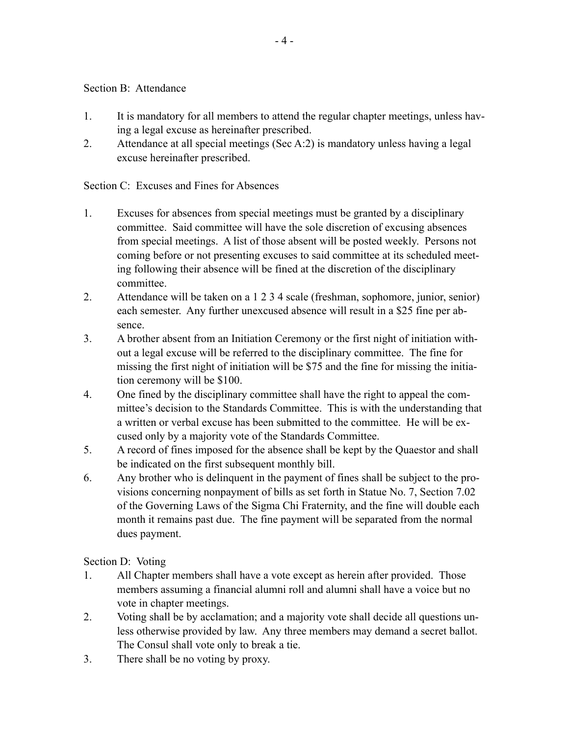Section B: Attendance

- 1. It is mandatory for all members to attend the regular chapter meetings, unless having a legal excuse as hereinafter prescribed.
- 2. Attendance at all special meetings (Sec A:2) is mandatory unless having a legal excuse hereinafter prescribed.

Section C: Excuses and Fines for Absences

- 1. Excuses for absences from special meetings must be granted by a disciplinary committee. Said committee will have the sole discretion of excusing absences from special meetings. A list of those absent will be posted weekly. Persons not coming before or not presenting excuses to said committee at its scheduled meeting following their absence will be fined at the discretion of the disciplinary committee.
- 2. Attendance will be taken on a 1 2 3 4 scale (freshman, sophomore, junior, senior) each semester. Any further unexcused absence will result in a \$25 fine per absence.
- 3. A brother absent from an Initiation Ceremony or the first night of initiation without a legal excuse will be referred to the disciplinary committee. The fine for missing the first night of initiation will be \$75 and the fine for missing the initiation ceremony will be \$100.
- 4. One fined by the disciplinary committee shall have the right to appeal the committee's decision to the Standards Committee. This is with the understanding that a written or verbal excuse has been submitted to the committee. He will be excused only by a majority vote of the Standards Committee.
- 5. A record of fines imposed for the absence shall be kept by the Quaestor and shall be indicated on the first subsequent monthly bill.
- 6. Any brother who is delinquent in the payment of fines shall be subject to the provisions concerning nonpayment of bills as set forth in Statue No. 7, Section 7.02 of the Governing Laws of the Sigma Chi Fraternity, and the fine will double each month it remains past due. The fine payment will be separated from the normal dues payment.

Section D: Voting

- 1. All Chapter members shall have a vote except as herein after provided. Those members assuming a financial alumni roll and alumni shall have a voice but no vote in chapter meetings.
- 2. Voting shall be by acclamation; and a majority vote shall decide all questions unless otherwise provided by law. Any three members may demand a secret ballot. The Consul shall vote only to break a tie.
- 3. There shall be no voting by proxy.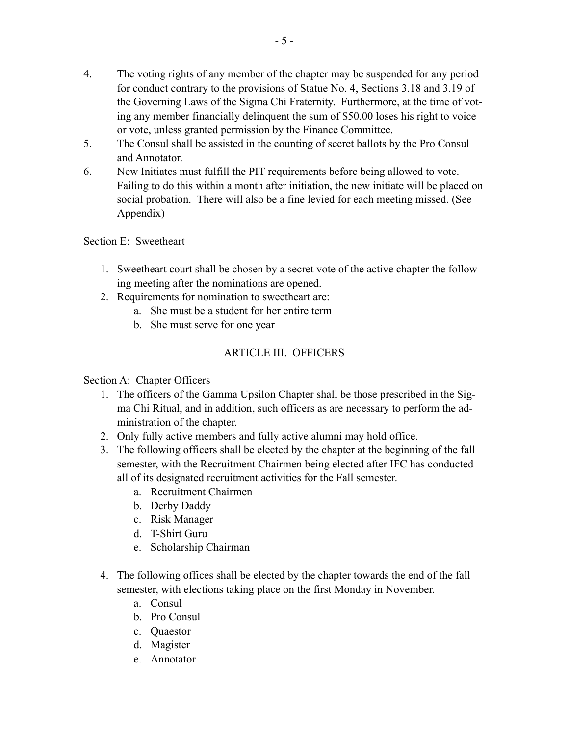- 4. The voting rights of any member of the chapter may be suspended for any period for conduct contrary to the provisions of Statue No. 4, Sections 3.18 and 3.19 of the Governing Laws of the Sigma Chi Fraternity. Furthermore, at the time of voting any member financially delinquent the sum of \$50.00 loses his right to voice or vote, unless granted permission by the Finance Committee.
- 5. The Consul shall be assisted in the counting of secret ballots by the Pro Consul and Annotator.
- 6. New Initiates must fulfill the PIT requirements before being allowed to vote. Failing to do this within a month after initiation, the new initiate will be placed on social probation. There will also be a fine levied for each meeting missed. (See Appendix)

Section E: Sweetheart

- 1. Sweetheart court shall be chosen by a secret vote of the active chapter the following meeting after the nominations are opened.
- 2. Requirements for nomination to sweetheart are:
	- a. She must be a student for her entire term
	- b. She must serve for one year

# ARTICLE III. OFFICERS

Section A: Chapter Officers

- 1. The officers of the Gamma Upsilon Chapter shall be those prescribed in the Sigma Chi Ritual, and in addition, such officers as are necessary to perform the administration of the chapter.
- 2. Only fully active members and fully active alumni may hold office.
- 3. The following officers shall be elected by the chapter at the beginning of the fall semester, with the Recruitment Chairmen being elected after IFC has conducted all of its designated recruitment activities for the Fall semester.
	- a. Recruitment Chairmen
	- b. Derby Daddy
	- c. Risk Manager
	- d. T-Shirt Guru
	- e. Scholarship Chairman
- 4. The following offices shall be elected by the chapter towards the end of the fall semester, with elections taking place on the first Monday in November.
	- a. Consul
	- b. Pro Consul
	- c. Quaestor
	- d. Magister
	- e. Annotator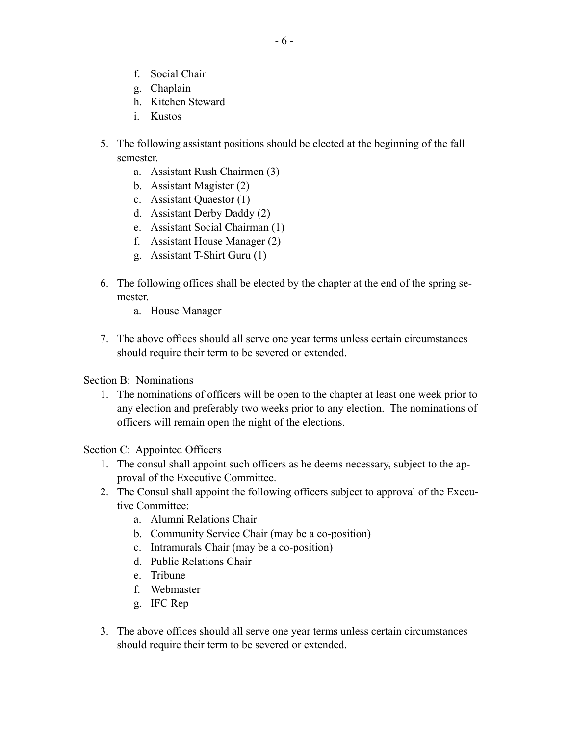- f. Social Chair
- g. Chaplain
- h. Kitchen Steward
- i. Kustos
- 5. The following assistant positions should be elected at the beginning of the fall semester.
	- a. Assistant Rush Chairmen (3)
	- b. Assistant Magister (2)
	- c. Assistant Quaestor (1)
	- d. Assistant Derby Daddy (2)
	- e. Assistant Social Chairman (1)
	- f. Assistant House Manager (2)
	- g. Assistant T-Shirt Guru (1)
- 6. The following offices shall be elected by the chapter at the end of the spring semester.
	- a. House Manager
- 7. The above offices should all serve one year terms unless certain circumstances should require their term to be severed or extended.

Section B: Nominations

1. The nominations of officers will be open to the chapter at least one week prior to any election and preferably two weeks prior to any election. The nominations of officers will remain open the night of the elections.

Section C: Appointed Officers

- 1. The consul shall appoint such officers as he deems necessary, subject to the approval of the Executive Committee.
- 2. The Consul shall appoint the following officers subject to approval of the Executive Committee:
	- a. Alumni Relations Chair
	- b. Community Service Chair (may be a co-position)
	- c. Intramurals Chair (may be a co-position)
	- d. Public Relations Chair
	- e. Tribune
	- f. Webmaster
	- g. IFC Rep
- 3. The above offices should all serve one year terms unless certain circumstances should require their term to be severed or extended.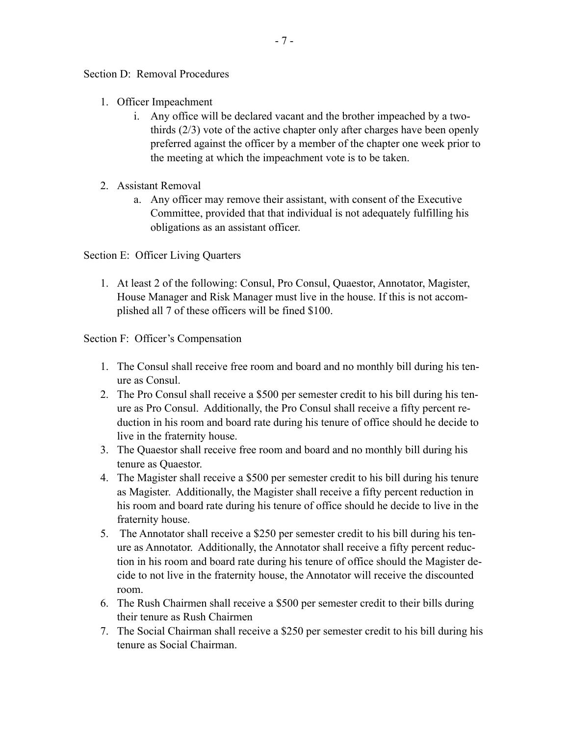Section D: Removal Procedures

- 1. Officer Impeachment
	- i. Any office will be declared vacant and the brother impeached by a twothirds (2/3) vote of the active chapter only after charges have been openly preferred against the officer by a member of the chapter one week prior to the meeting at which the impeachment vote is to be taken.
- 2. Assistant Removal
	- a. Any officer may remove their assistant, with consent of the Executive Committee, provided that that individual is not adequately fulfilling his obligations as an assistant officer.

Section E: Officer Living Quarters

1. At least 2 of the following: Consul, Pro Consul, Quaestor, Annotator, Magister, House Manager and Risk Manager must live in the house. If this is not accomplished all 7 of these officers will be fined \$100.

Section F: Officer's Compensation

- 1. The Consul shall receive free room and board and no monthly bill during his tenure as Consul.
- 2. The Pro Consul shall receive a \$500 per semester credit to his bill during his tenure as Pro Consul. Additionally, the Pro Consul shall receive a fifty percent reduction in his room and board rate during his tenure of office should he decide to live in the fraternity house.
- 3. The Quaestor shall receive free room and board and no monthly bill during his tenure as Quaestor.
- 4. The Magister shall receive a \$500 per semester credit to his bill during his tenure as Magister. Additionally, the Magister shall receive a fifty percent reduction in his room and board rate during his tenure of office should he decide to live in the fraternity house.
- 5. The Annotator shall receive a \$250 per semester credit to his bill during his tenure as Annotator. Additionally, the Annotator shall receive a fifty percent reduction in his room and board rate during his tenure of office should the Magister decide to not live in the fraternity house, the Annotator will receive the discounted room.
- 6. The Rush Chairmen shall receive a \$500 per semester credit to their bills during their tenure as Rush Chairmen
- 7. The Social Chairman shall receive a \$250 per semester credit to his bill during his tenure as Social Chairman.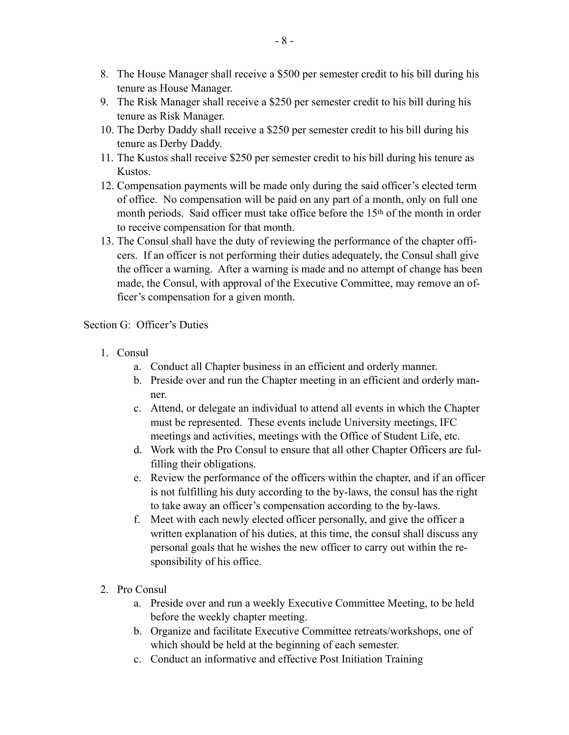- 8. The House Manager shall receive a \$500 per semester credit to his bill during his tenure as House Manager.
- 9. The Risk Manager shall receive a \$250 per semester credit to his bill during his tenure as Risk Manager.
- 10. The Derby Daddy shall receive a \$250 per semester credit to his bill during his tenure as Derby Daddy.
- 11. The Kustos shall receive \$250 per semester credit to his bill during his tenure as Kustos.
- 12. Compensation payments will be made only during the said officer's elected term of office. No compensation will be paid on any part of a month, only on full one month periods. Said officer must take office before the 15<sup>th</sup> of the month in order to receive compensation for that month.
- 13. The Consul shall have the duty of reviewing the performance of the chapter officers. If an officer is not performing their duties adequately, the Consul shall give the officer a warning. After a warning is made and no attempt of change has been made, the Consul, with approval of the Executive Committee, may remove an officer's compensation for a given month.

#### Section G: Officer's Duties

- 1. Consul
	- a. Conduct all Chapter business in an efficient and orderly manner.
	- b. Preside over and run the Chapter meeting in an efficient and orderly manner.
	- c. Attend, or delegate an individual to attend all events in which the Chapter must be represented. These events include University meetings, IFC meetings and activities, meetings with the Office of Student Life, etc.
	- d. Work with the Pro Consul to ensure that all other Chapter Officers are fulfilling their obligations.
	- e. Review the performance of the officers within the chapter, and if an officer is not fulfilling his duty according to the by-laws, the consul has the right to take away an officer's compensation according to the by-laws.
	- f. Meet with each newly elected officer personally, and give the officer a written explanation of his duties, at this time, the consul shall discuss any personal goals that he wishes the new officer to carry out within the responsibility of his office.
- 2. Pro Consul
	- a. Preside over and run a weekly Executive Committee Meeting, to be held before the weekly chapter meeting.
	- b. Organize and facilitate Executive Committee retreats/workshops, one of which should be held at the beginning of each semester.
	- c. Conduct an informative and effective Post Initiation Training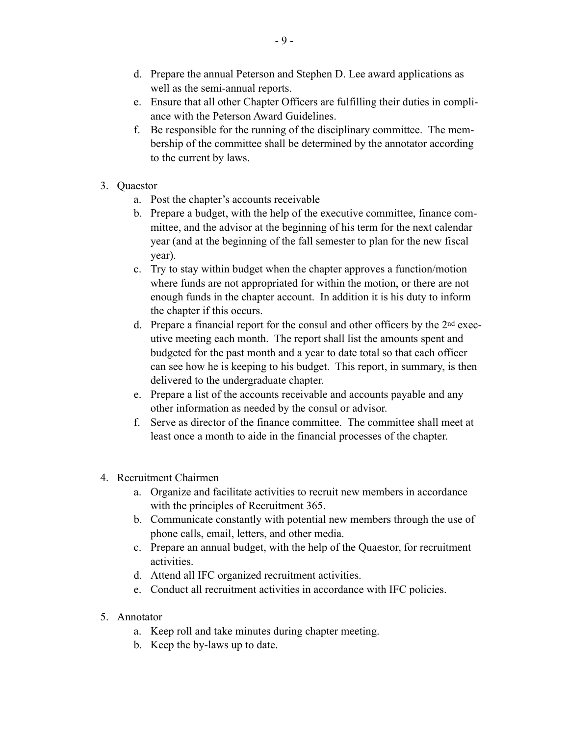- d. Prepare the annual Peterson and Stephen D. Lee award applications as well as the semi-annual reports.
- e. Ensure that all other Chapter Officers are fulfilling their duties in compliance with the Peterson Award Guidelines.
- f. Be responsible for the running of the disciplinary committee. The membership of the committee shall be determined by the annotator according to the current by laws.
- 3. Quaestor
	- a. Post the chapter's accounts receivable
	- b. Prepare a budget, with the help of the executive committee, finance committee, and the advisor at the beginning of his term for the next calendar year (and at the beginning of the fall semester to plan for the new fiscal year).
	- c. Try to stay within budget when the chapter approves a function/motion where funds are not appropriated for within the motion, or there are not enough funds in the chapter account. In addition it is his duty to inform the chapter if this occurs.
	- d. Prepare a financial report for the consul and other officers by the 2nd executive meeting each month. The report shall list the amounts spent and budgeted for the past month and a year to date total so that each officer can see how he is keeping to his budget. This report, in summary, is then delivered to the undergraduate chapter.
	- e. Prepare a list of the accounts receivable and accounts payable and any other information as needed by the consul or advisor.
	- f. Serve as director of the finance committee. The committee shall meet at least once a month to aide in the financial processes of the chapter.
- 4. Recruitment Chairmen
	- a. Organize and facilitate activities to recruit new members in accordance with the principles of Recruitment 365.
	- b. Communicate constantly with potential new members through the use of phone calls, email, letters, and other media.
	- c. Prepare an annual budget, with the help of the Quaestor, for recruitment activities.
	- d. Attend all IFC organized recruitment activities.
	- e. Conduct all recruitment activities in accordance with IFC policies.
- 5. Annotator
	- a. Keep roll and take minutes during chapter meeting.
	- b. Keep the by-laws up to date.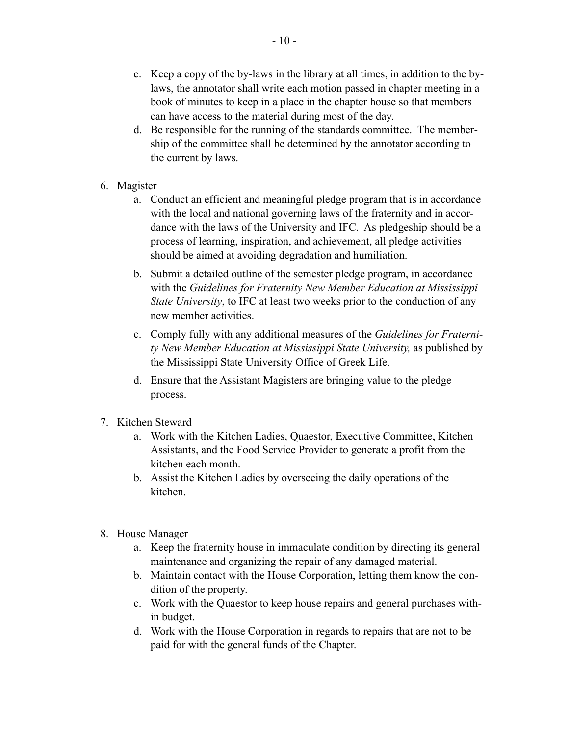- c. Keep a copy of the by-laws in the library at all times, in addition to the bylaws, the annotator shall write each motion passed in chapter meeting in a book of minutes to keep in a place in the chapter house so that members can have access to the material during most of the day.
- d. Be responsible for the running of the standards committee. The membership of the committee shall be determined by the annotator according to the current by laws.
- 6. Magister
	- a. Conduct an efficient and meaningful pledge program that is in accordance with the local and national governing laws of the fraternity and in accordance with the laws of the University and IFC. As pledgeship should be a process of learning, inspiration, and achievement, all pledge activities should be aimed at avoiding degradation and humiliation.
	- b. Submit a detailed outline of the semester pledge program, in accordance with the *Guidelines for Fraternity New Member Education at Mississippi State University*, to IFC at least two weeks prior to the conduction of any new member activities.
	- c. Comply fully with any additional measures of the *Guidelines for Fraternity New Member Education at Mississippi State University,* as published by the Mississippi State University Office of Greek Life.
	- d. Ensure that the Assistant Magisters are bringing value to the pledge process.
- 7. Kitchen Steward
	- a. Work with the Kitchen Ladies, Quaestor, Executive Committee, Kitchen Assistants, and the Food Service Provider to generate a profit from the kitchen each month.
	- b. Assist the Kitchen Ladies by overseeing the daily operations of the kitchen.
- 8. House Manager
	- a. Keep the fraternity house in immaculate condition by directing its general maintenance and organizing the repair of any damaged material.
	- b. Maintain contact with the House Corporation, letting them know the condition of the property.
	- c. Work with the Quaestor to keep house repairs and general purchases within budget.
	- d. Work with the House Corporation in regards to repairs that are not to be paid for with the general funds of the Chapter.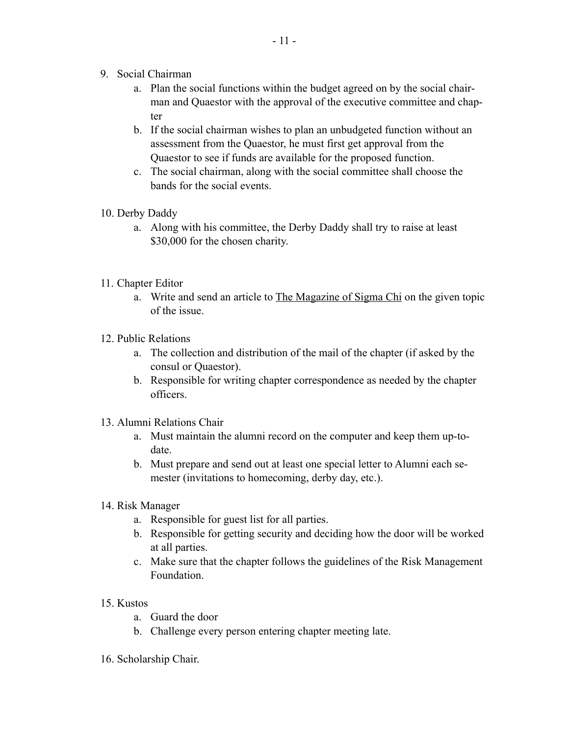- 9. Social Chairman
	- a. Plan the social functions within the budget agreed on by the social chairman and Quaestor with the approval of the executive committee and chapter
	- b. If the social chairman wishes to plan an unbudgeted function without an assessment from the Quaestor, he must first get approval from the Quaestor to see if funds are available for the proposed function.
	- c. The social chairman, along with the social committee shall choose the bands for the social events.
- 10. Derby Daddy
	- a. Along with his committee, the Derby Daddy shall try to raise at least \$30,000 for the chosen charity.
- 11. Chapter Editor
	- a. Write and send an article to The Magazine of Sigma Chi on the given topic of the issue.
- 12. Public Relations
	- a. The collection and distribution of the mail of the chapter (if asked by the consul or Quaestor).
	- b. Responsible for writing chapter correspondence as needed by the chapter officers.
- 13. Alumni Relations Chair
	- a. Must maintain the alumni record on the computer and keep them up-todate.
	- b. Must prepare and send out at least one special letter to Alumni each semester (invitations to homecoming, derby day, etc.).
- 14. Risk Manager
	- a. Responsible for guest list for all parties.
	- b. Responsible for getting security and deciding how the door will be worked at all parties.
	- c. Make sure that the chapter follows the guidelines of the Risk Management Foundation.
- 15. Kustos
	- a. Guard the door
	- b. Challenge every person entering chapter meeting late.
- 16. Scholarship Chair.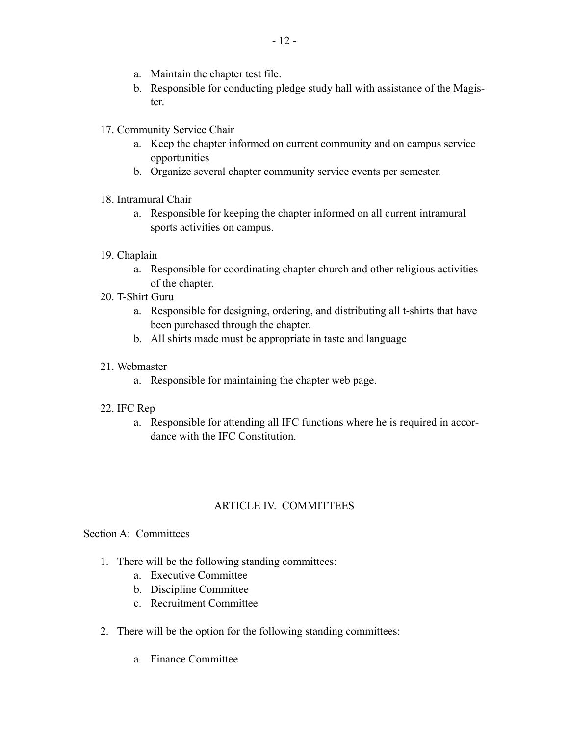- a. Maintain the chapter test file.
- b. Responsible for conducting pledge study hall with assistance of the Magister.
- 17. Community Service Chair
	- a. Keep the chapter informed on current community and on campus service opportunities
	- b. Organize several chapter community service events per semester.

### 18. Intramural Chair

- a. Responsible for keeping the chapter informed on all current intramural sports activities on campus.
- 19. Chaplain
	- a. Responsible for coordinating chapter church and other religious activities of the chapter.
- 20. T-Shirt Guru
	- a. Responsible for designing, ordering, and distributing all t-shirts that have been purchased through the chapter.
	- b. All shirts made must be appropriate in taste and language

### 21. Webmaster

a. Responsible for maintaining the chapter web page.

### 22. IFC Rep

a. Responsible for attending all IFC functions where he is required in accordance with the IFC Constitution.

# ARTICLE IV. COMMITTEES

### Section A: Committees

- 1. There will be the following standing committees:
	- a. Executive Committee
	- b. Discipline Committee
	- c. Recruitment Committee
- 2. There will be the option for the following standing committees:
	- a. Finance Committee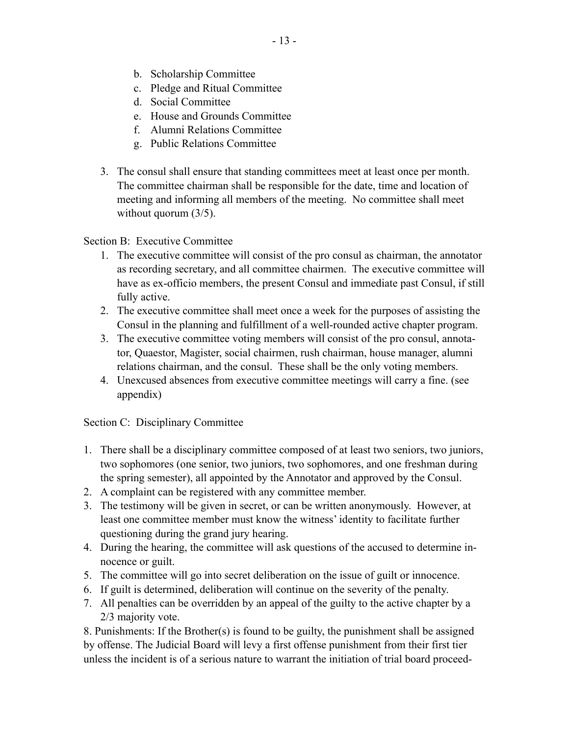- b. Scholarship Committee
- c. Pledge and Ritual Committee
- d. Social Committee
- e. House and Grounds Committee
- f. Alumni Relations Committee
- g. Public Relations Committee
- 3. The consul shall ensure that standing committees meet at least once per month. The committee chairman shall be responsible for the date, time and location of meeting and informing all members of the meeting. No committee shall meet without quorum  $(3/5)$ .

Section B: Executive Committee

- 1. The executive committee will consist of the pro consul as chairman, the annotator as recording secretary, and all committee chairmen. The executive committee will have as ex-officio members, the present Consul and immediate past Consul, if still fully active.
- 2. The executive committee shall meet once a week for the purposes of assisting the Consul in the planning and fulfillment of a well-rounded active chapter program.
- 3. The executive committee voting members will consist of the pro consul, annotator, Quaestor, Magister, social chairmen, rush chairman, house manager, alumni relations chairman, and the consul. These shall be the only voting members.
- 4. Unexcused absences from executive committee meetings will carry a fine. (see appendix)

Section C: Disciplinary Committee

- 1. There shall be a disciplinary committee composed of at least two seniors, two juniors, two sophomores (one senior, two juniors, two sophomores, and one freshman during the spring semester), all appointed by the Annotator and approved by the Consul.
- 2. A complaint can be registered with any committee member.
- 3. The testimony will be given in secret, or can be written anonymously. However, at least one committee member must know the witness' identity to facilitate further questioning during the grand jury hearing.
- 4. During the hearing, the committee will ask questions of the accused to determine innocence or guilt.
- 5. The committee will go into secret deliberation on the issue of guilt or innocence.
- 6. If guilt is determined, deliberation will continue on the severity of the penalty.
- 7. All penalties can be overridden by an appeal of the guilty to the active chapter by a 2/3 majority vote.

8. Punishments: If the Brother(s) is found to be guilty, the punishment shall be assigned by offense. The Judicial Board will levy a first offense punishment from their first tier unless the incident is of a serious nature to warrant the initiation of trial board proceed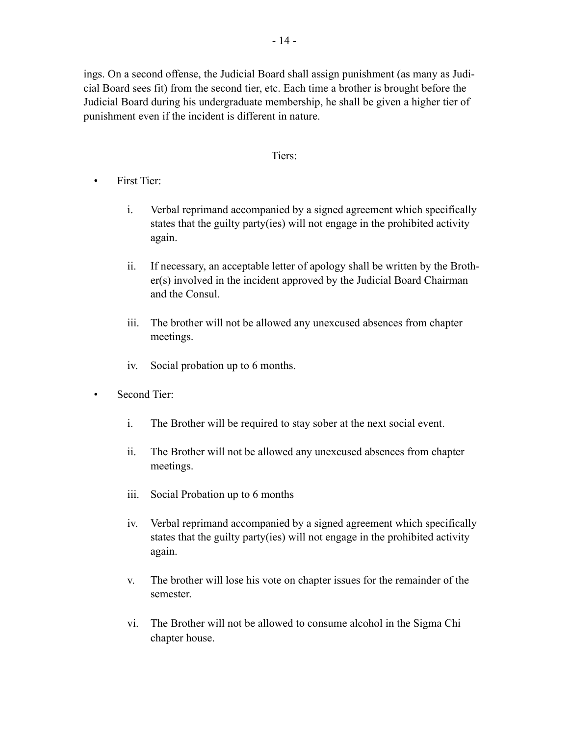ings. On a second offense, the Judicial Board shall assign punishment (as many as Judicial Board sees fit) from the second tier, etc. Each time a brother is brought before the Judicial Board during his undergraduate membership, he shall be given a higher tier of punishment even if the incident is different in nature.

#### Tiers:

- First Tier:
	- i. Verbal reprimand accompanied by a signed agreement which specifically states that the guilty party(ies) will not engage in the prohibited activity again.
	- ii. If necessary, an acceptable letter of apology shall be written by the Brother(s) involved in the incident approved by the Judicial Board Chairman and the Consul.
	- iii. The brother will not be allowed any unexcused absences from chapter meetings.
	- iv. Social probation up to 6 months.
- Second Tier:
	- i. The Brother will be required to stay sober at the next social event.
	- ii. The Brother will not be allowed any unexcused absences from chapter meetings.
	- iii. Social Probation up to 6 months
	- iv. Verbal reprimand accompanied by a signed agreement which specifically states that the guilty party(ies) will not engage in the prohibited activity again.
	- v. The brother will lose his vote on chapter issues for the remainder of the semester.
	- vi. The Brother will not be allowed to consume alcohol in the Sigma Chi chapter house.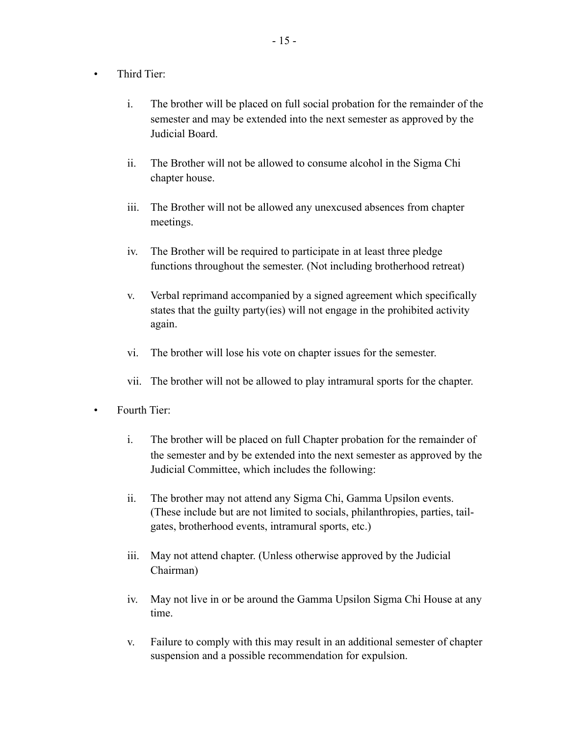- Third Tier:
	- i. The brother will be placed on full social probation for the remainder of the semester and may be extended into the next semester as approved by the Judicial Board.
	- ii. The Brother will not be allowed to consume alcohol in the Sigma Chi chapter house.
	- iii. The Brother will not be allowed any unexcused absences from chapter meetings.
	- iv. The Brother will be required to participate in at least three pledge functions throughout the semester. (Not including brotherhood retreat)
	- v. Verbal reprimand accompanied by a signed agreement which specifically states that the guilty party(ies) will not engage in the prohibited activity again.
	- vi. The brother will lose his vote on chapter issues for the semester.
	- vii. The brother will not be allowed to play intramural sports for the chapter.
- Fourth Tier:
	- i. The brother will be placed on full Chapter probation for the remainder of the semester and by be extended into the next semester as approved by the Judicial Committee, which includes the following:
	- ii. The brother may not attend any Sigma Chi, Gamma Upsilon events. (These include but are not limited to socials, philanthropies, parties, tailgates, brotherhood events, intramural sports, etc.)
	- iii. May not attend chapter. (Unless otherwise approved by the Judicial Chairman)
	- iv. May not live in or be around the Gamma Upsilon Sigma Chi House at any time.
	- v. Failure to comply with this may result in an additional semester of chapter suspension and a possible recommendation for expulsion.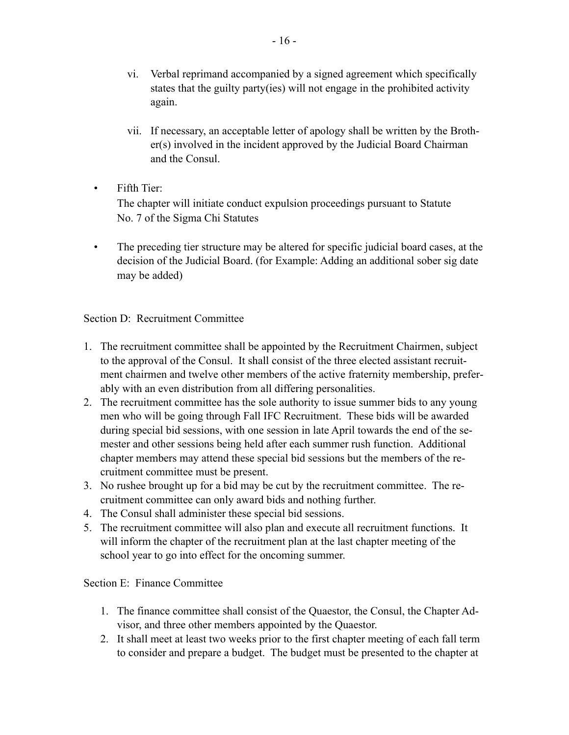- vi. Verbal reprimand accompanied by a signed agreement which specifically states that the guilty party(ies) will not engage in the prohibited activity again.
- vii. If necessary, an acceptable letter of apology shall be written by the Brother(s) involved in the incident approved by the Judicial Board Chairman and the Consul.
- Fifth Tier:

The chapter will initiate conduct expulsion proceedings pursuant to Statute No. 7 of the Sigma Chi Statutes

• The preceding tier structure may be altered for specific judicial board cases, at the decision of the Judicial Board. (for Example: Adding an additional sober sig date may be added)

### Section D: Recruitment Committee

- 1. The recruitment committee shall be appointed by the Recruitment Chairmen, subject to the approval of the Consul. It shall consist of the three elected assistant recruitment chairmen and twelve other members of the active fraternity membership, preferably with an even distribution from all differing personalities.
- 2. The recruitment committee has the sole authority to issue summer bids to any young men who will be going through Fall IFC Recruitment. These bids will be awarded during special bid sessions, with one session in late April towards the end of the semester and other sessions being held after each summer rush function. Additional chapter members may attend these special bid sessions but the members of the recruitment committee must be present.
- 3. No rushee brought up for a bid may be cut by the recruitment committee. The recruitment committee can only award bids and nothing further.
- 4. The Consul shall administer these special bid sessions.
- 5. The recruitment committee will also plan and execute all recruitment functions. It will inform the chapter of the recruitment plan at the last chapter meeting of the school year to go into effect for the oncoming summer.

### Section E: Finance Committee

- 1. The finance committee shall consist of the Quaestor, the Consul, the Chapter Advisor, and three other members appointed by the Quaestor.
- 2. It shall meet at least two weeks prior to the first chapter meeting of each fall term to consider and prepare a budget. The budget must be presented to the chapter at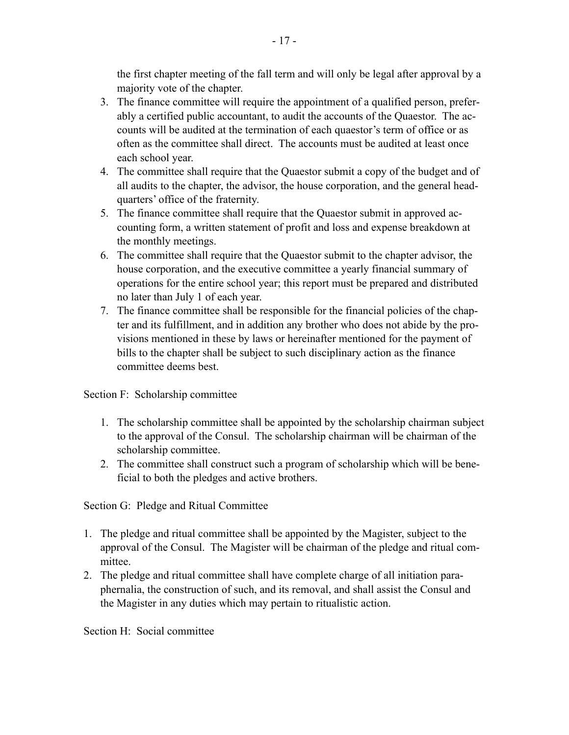the first chapter meeting of the fall term and will only be legal after approval by a majority vote of the chapter.

- 3. The finance committee will require the appointment of a qualified person, preferably a certified public accountant, to audit the accounts of the Quaestor. The accounts will be audited at the termination of each quaestor's term of office or as often as the committee shall direct. The accounts must be audited at least once each school year.
- 4. The committee shall require that the Quaestor submit a copy of the budget and of all audits to the chapter, the advisor, the house corporation, and the general headquarters' office of the fraternity.
- 5. The finance committee shall require that the Quaestor submit in approved accounting form, a written statement of profit and loss and expense breakdown at the monthly meetings.
- 6. The committee shall require that the Quaestor submit to the chapter advisor, the house corporation, and the executive committee a yearly financial summary of operations for the entire school year; this report must be prepared and distributed no later than July 1 of each year.
- 7. The finance committee shall be responsible for the financial policies of the chapter and its fulfillment, and in addition any brother who does not abide by the provisions mentioned in these by laws or hereinafter mentioned for the payment of bills to the chapter shall be subject to such disciplinary action as the finance committee deems best.

Section F: Scholarship committee

- 1. The scholarship committee shall be appointed by the scholarship chairman subject to the approval of the Consul. The scholarship chairman will be chairman of the scholarship committee.
- 2. The committee shall construct such a program of scholarship which will be beneficial to both the pledges and active brothers.

Section G: Pledge and Ritual Committee

- 1. The pledge and ritual committee shall be appointed by the Magister, subject to the approval of the Consul. The Magister will be chairman of the pledge and ritual committee.
- 2. The pledge and ritual committee shall have complete charge of all initiation paraphernalia, the construction of such, and its removal, and shall assist the Consul and the Magister in any duties which may pertain to ritualistic action.

Section H: Social committee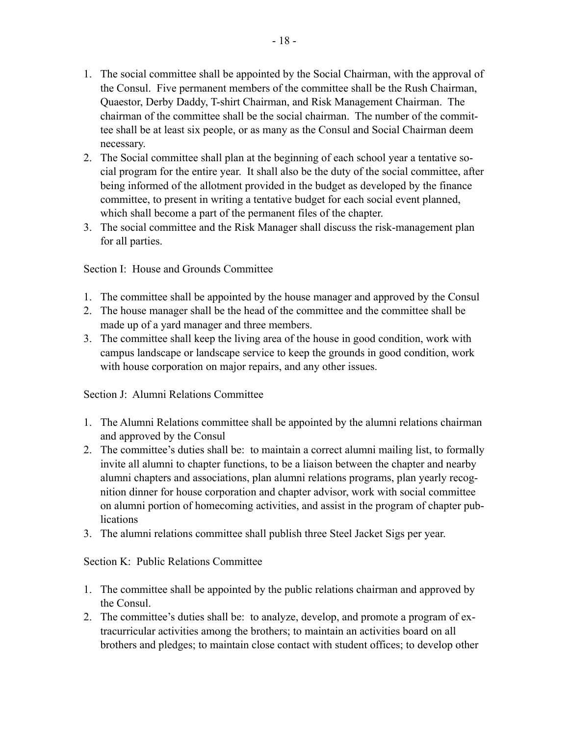- 1. The social committee shall be appointed by the Social Chairman, with the approval of the Consul. Five permanent members of the committee shall be the Rush Chairman, Quaestor, Derby Daddy, T-shirt Chairman, and Risk Management Chairman. The chairman of the committee shall be the social chairman. The number of the committee shall be at least six people, or as many as the Consul and Social Chairman deem necessary.
- 2. The Social committee shall plan at the beginning of each school year a tentative social program for the entire year. It shall also be the duty of the social committee, after being informed of the allotment provided in the budget as developed by the finance committee, to present in writing a tentative budget for each social event planned, which shall become a part of the permanent files of the chapter.
- 3. The social committee and the Risk Manager shall discuss the risk-management plan for all parties.

Section I: House and Grounds Committee

- 1. The committee shall be appointed by the house manager and approved by the Consul
- 2. The house manager shall be the head of the committee and the committee shall be made up of a yard manager and three members.
- 3. The committee shall keep the living area of the house in good condition, work with campus landscape or landscape service to keep the grounds in good condition, work with house corporation on major repairs, and any other issues.

Section J: Alumni Relations Committee

- 1. The Alumni Relations committee shall be appointed by the alumni relations chairman and approved by the Consul
- 2. The committee's duties shall be: to maintain a correct alumni mailing list, to formally invite all alumni to chapter functions, to be a liaison between the chapter and nearby alumni chapters and associations, plan alumni relations programs, plan yearly recognition dinner for house corporation and chapter advisor, work with social committee on alumni portion of homecoming activities, and assist in the program of chapter publications
- 3. The alumni relations committee shall publish three Steel Jacket Sigs per year.

Section K: Public Relations Committee

- 1. The committee shall be appointed by the public relations chairman and approved by the Consul.
- 2. The committee's duties shall be: to analyze, develop, and promote a program of extracurricular activities among the brothers; to maintain an activities board on all brothers and pledges; to maintain close contact with student offices; to develop other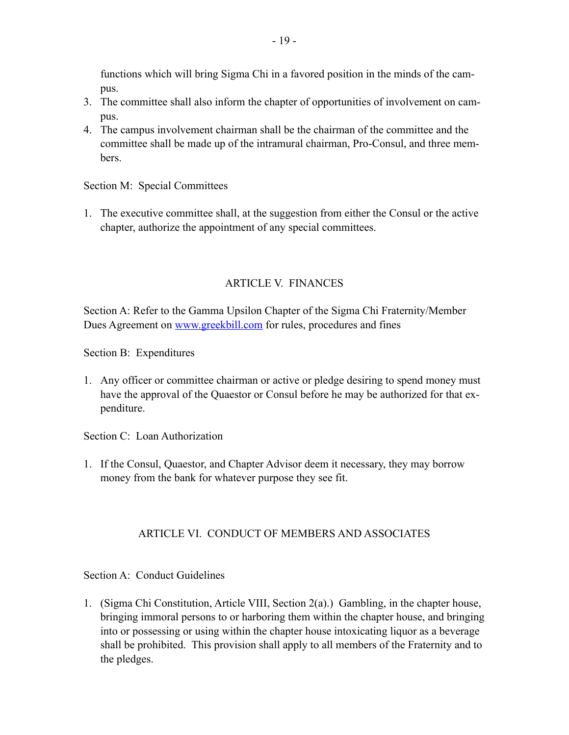functions which will bring Sigma Chi in a favored position in the minds of the campus.

- 3. The committee shall also inform the chapter of opportunities of involvement on campus.
- 4. The campus involvement chairman shall be the chairman of the committee and the committee shall be made up of the intramural chairman, Pro-Consul, and three members.

Section M: Special Committees

1. The executive committee shall, at the suggestion from either the Consul or the active chapter, authorize the appointment of any special committees.

## ARTICLE V. FINANCES

Section A: Refer to the Gamma Upsilon Chapter of the Sigma Chi Fraternity/Member Dues Agreement on [www.greekbill.com](http://www.greekbill.com) for rules, procedures and fines

Section B: Expenditures

1. Any officer or committee chairman or active or pledge desiring to spend money must have the approval of the Quaestor or Consul before he may be authorized for that expenditure.

Section C: Loan Authorization

1. If the Consul, Quaestor, and Chapter Advisor deem it necessary, they may borrow money from the bank for whatever purpose they see fit.

### ARTICLE VI. CONDUCT OF MEMBERS AND ASSOCIATES

### Section A: Conduct Guidelines

1. (Sigma Chi Constitution, Article VIII, Section 2(a).) Gambling, in the chapter house, bringing immoral persons to or harboring them within the chapter house, and bringing into or possessing or using within the chapter house intoxicating liquor as a beverage shall be prohibited. This provision shall apply to all members of the Fraternity and to the pledges.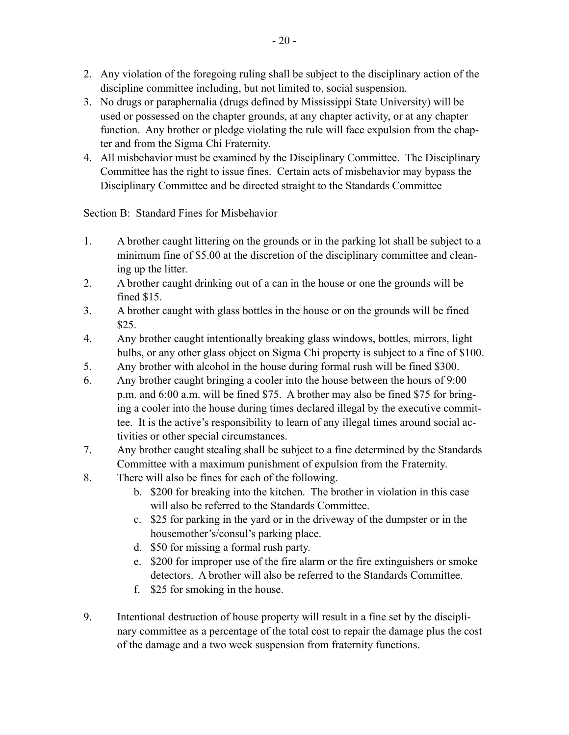- 2. Any violation of the foregoing ruling shall be subject to the disciplinary action of the discipline committee including, but not limited to, social suspension.
- 3. No drugs or paraphernalia (drugs defined by Mississippi State University) will be used or possessed on the chapter grounds, at any chapter activity, or at any chapter function. Any brother or pledge violating the rule will face expulsion from the chapter and from the Sigma Chi Fraternity.
- 4. All misbehavior must be examined by the Disciplinary Committee. The Disciplinary Committee has the right to issue fines. Certain acts of misbehavior may bypass the Disciplinary Committee and be directed straight to the Standards Committee

Section B: Standard Fines for Misbehavior

- 1. A brother caught littering on the grounds or in the parking lot shall be subject to a minimum fine of \$5.00 at the discretion of the disciplinary committee and cleaning up the litter.
- 2. A brother caught drinking out of a can in the house or one the grounds will be fined \$15.
- 3. A brother caught with glass bottles in the house or on the grounds will be fined \$25.
- 4. Any brother caught intentionally breaking glass windows, bottles, mirrors, light bulbs, or any other glass object on Sigma Chi property is subject to a fine of \$100.
- 5. Any brother with alcohol in the house during formal rush will be fined \$300.
- 6. Any brother caught bringing a cooler into the house between the hours of 9:00 p.m. and 6:00 a.m. will be fined \$75. A brother may also be fined \$75 for bringing a cooler into the house during times declared illegal by the executive committee. It is the active's responsibility to learn of any illegal times around social activities or other special circumstances.
- 7. Any brother caught stealing shall be subject to a fine determined by the Standards Committee with a maximum punishment of expulsion from the Fraternity.
- 8. There will also be fines for each of the following.
	- b. \$200 for breaking into the kitchen. The brother in violation in this case will also be referred to the Standards Committee.
	- c. \$25 for parking in the yard or in the driveway of the dumpster or in the housemother's/consul's parking place.
	- d. \$50 for missing a formal rush party.
	- e. \$200 for improper use of the fire alarm or the fire extinguishers or smoke detectors. A brother will also be referred to the Standards Committee.
	- f. \$25 for smoking in the house.
- 9. Intentional destruction of house property will result in a fine set by the disciplinary committee as a percentage of the total cost to repair the damage plus the cost of the damage and a two week suspension from fraternity functions.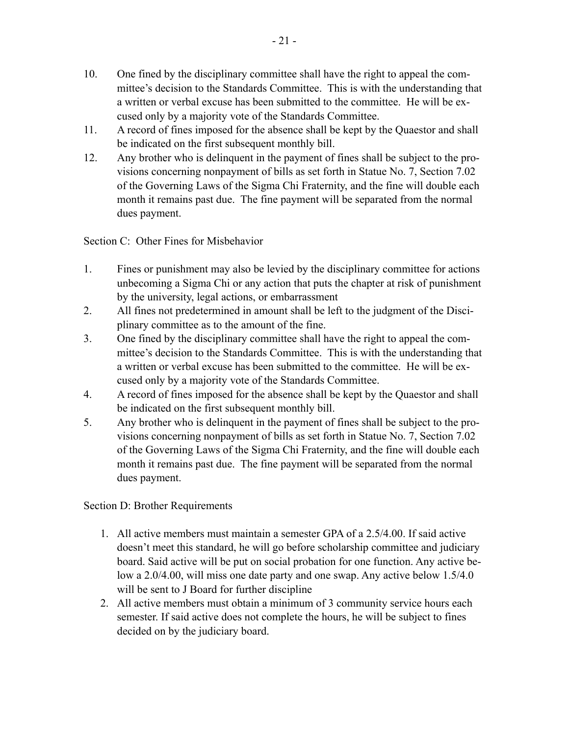- 10. One fined by the disciplinary committee shall have the right to appeal the committee's decision to the Standards Committee. This is with the understanding that a written or verbal excuse has been submitted to the committee. He will be excused only by a majority vote of the Standards Committee.
- 11. A record of fines imposed for the absence shall be kept by the Quaestor and shall be indicated on the first subsequent monthly bill.
- 12. Any brother who is delinquent in the payment of fines shall be subject to the provisions concerning nonpayment of bills as set forth in Statue No. 7, Section 7.02 of the Governing Laws of the Sigma Chi Fraternity, and the fine will double each month it remains past due. The fine payment will be separated from the normal dues payment.

Section C: Other Fines for Misbehavior

- 1. Fines or punishment may also be levied by the disciplinary committee for actions unbecoming a Sigma Chi or any action that puts the chapter at risk of punishment by the university, legal actions, or embarrassment
- 2. All fines not predetermined in amount shall be left to the judgment of the Disciplinary committee as to the amount of the fine.
- 3. One fined by the disciplinary committee shall have the right to appeal the committee's decision to the Standards Committee. This is with the understanding that a written or verbal excuse has been submitted to the committee. He will be excused only by a majority vote of the Standards Committee.
- 4. A record of fines imposed for the absence shall be kept by the Quaestor and shall be indicated on the first subsequent monthly bill.
- 5. Any brother who is delinquent in the payment of fines shall be subject to the provisions concerning nonpayment of bills as set forth in Statue No. 7, Section 7.02 of the Governing Laws of the Sigma Chi Fraternity, and the fine will double each month it remains past due. The fine payment will be separated from the normal dues payment.

Section D: Brother Requirements

- 1. All active members must maintain a semester GPA of a 2.5/4.00. If said active doesn't meet this standard, he will go before scholarship committee and judiciary board. Said active will be put on social probation for one function. Any active below a 2.0/4.00, will miss one date party and one swap. Any active below 1.5/4.0 will be sent to J Board for further discipline
- 2. All active members must obtain a minimum of 3 community service hours each semester. If said active does not complete the hours, he will be subject to fines decided on by the judiciary board.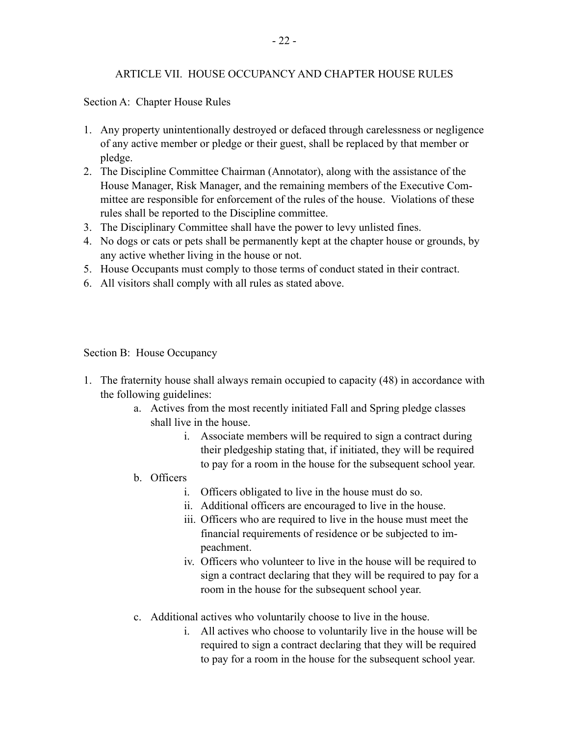### ARTICLE VII. HOUSE OCCUPANCY AND CHAPTER HOUSE RULES

Section A: Chapter House Rules

- 1. Any property unintentionally destroyed or defaced through carelessness or negligence of any active member or pledge or their guest, shall be replaced by that member or pledge.
- 2. The Discipline Committee Chairman (Annotator), along with the assistance of the House Manager, Risk Manager, and the remaining members of the Executive Committee are responsible for enforcement of the rules of the house. Violations of these rules shall be reported to the Discipline committee.
- 3. The Disciplinary Committee shall have the power to levy unlisted fines.
- 4. No dogs or cats or pets shall be permanently kept at the chapter house or grounds, by any active whether living in the house or not.
- 5. House Occupants must comply to those terms of conduct stated in their contract.
- 6. All visitors shall comply with all rules as stated above.

Section B: House Occupancy

- 1. The fraternity house shall always remain occupied to capacity (48) in accordance with the following guidelines:
	- a. Actives from the most recently initiated Fall and Spring pledge classes shall live in the house.
		- i. Associate members will be required to sign a contract during their pledgeship stating that, if initiated, they will be required to pay for a room in the house for the subsequent school year.
	- b. Officers
		- i. Officers obligated to live in the house must do so.
		- ii. Additional officers are encouraged to live in the house.
		- iii. Officers who are required to live in the house must meet the financial requirements of residence or be subjected to impeachment.
		- iv. Officers who volunteer to live in the house will be required to sign a contract declaring that they will be required to pay for a room in the house for the subsequent school year.
	- c. Additional actives who voluntarily choose to live in the house.
		- i. All actives who choose to voluntarily live in the house will be required to sign a contract declaring that they will be required to pay for a room in the house for the subsequent school year.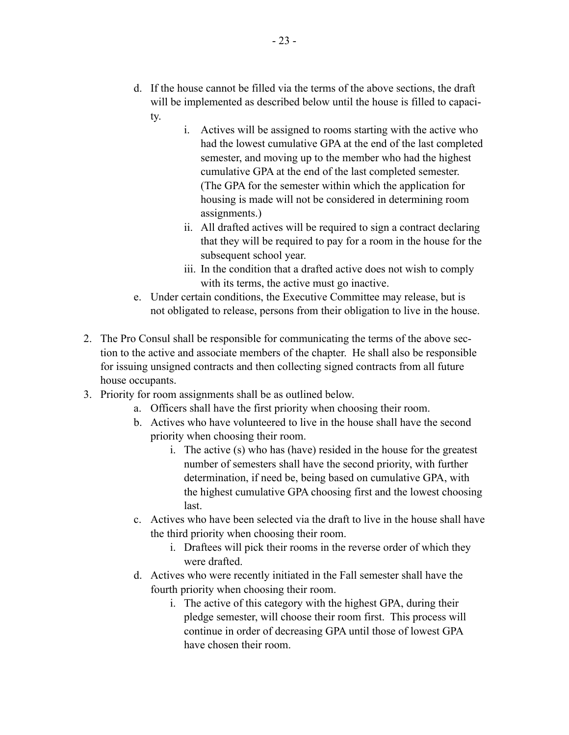- d. If the house cannot be filled via the terms of the above sections, the draft will be implemented as described below until the house is filled to capacity.
	- i. Actives will be assigned to rooms starting with the active who had the lowest cumulative GPA at the end of the last completed semester, and moving up to the member who had the highest cumulative GPA at the end of the last completed semester. (The GPA for the semester within which the application for housing is made will not be considered in determining room assignments.)
	- ii. All drafted actives will be required to sign a contract declaring that they will be required to pay for a room in the house for the subsequent school year.
	- iii. In the condition that a drafted active does not wish to comply with its terms, the active must go inactive.
- e. Under certain conditions, the Executive Committee may release, but is not obligated to release, persons from their obligation to live in the house.
- 2. The Pro Consul shall be responsible for communicating the terms of the above section to the active and associate members of the chapter. He shall also be responsible for issuing unsigned contracts and then collecting signed contracts from all future house occupants.
- 3. Priority for room assignments shall be as outlined below.
	- a. Officers shall have the first priority when choosing their room.
	- b. Actives who have volunteered to live in the house shall have the second priority when choosing their room.
		- i. The active (s) who has (have) resided in the house for the greatest number of semesters shall have the second priority, with further determination, if need be, being based on cumulative GPA, with the highest cumulative GPA choosing first and the lowest choosing last.
	- c. Actives who have been selected via the draft to live in the house shall have the third priority when choosing their room.
		- i. Draftees will pick their rooms in the reverse order of which they were drafted.
	- d. Actives who were recently initiated in the Fall semester shall have the fourth priority when choosing their room.
		- i. The active of this category with the highest GPA, during their pledge semester, will choose their room first. This process will continue in order of decreasing GPA until those of lowest GPA have chosen their room.